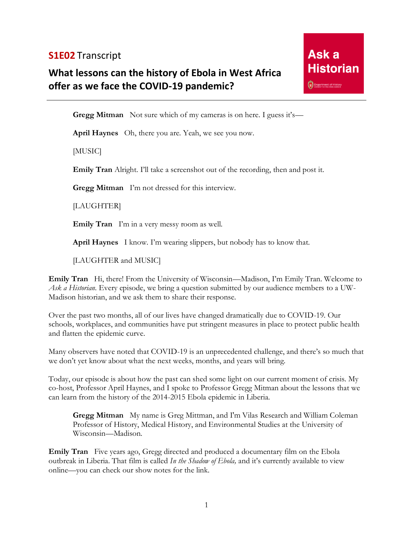## **S1E02** Transcript

## **What lessons can the history of Ebola in West Africa offer as we face the COVID-19 pandemic?**



**Gregg Mitman** Not sure which of my cameras is on here. I guess it's—

**April Haynes** Oh, there you are. Yeah, we see you now.

[MUSIC]

**Emily Tran** Alright. I'll take a screenshot out of the recording, then and post it.

**Gregg Mitman** I'm not dressed for this interview.

[LAUGHTER]

**Emily Tran** I'm in a very messy room as well.

**April Haynes** I know. I'm wearing slippers, but nobody has to know that.

[LAUGHTER and MUSIC]

**Emily Tran** Hi, there! From the University of Wisconsin—Madison, I'm Emily Tran. Welcome to *Ask a Historian.* Every episode, we bring a question submitted by our audience members to a UW-Madison historian, and we ask them to share their response.

Over the past two months, all of our lives have changed dramatically due to COVID-19. Our schools, workplaces, and communities have put stringent measures in place to protect public health and flatten the epidemic curve.

Many observers have noted that COVID-19 is an unprecedented challenge, and there's so much that we don't yet know about what the next weeks, months, and years will bring.

Today, our episode is about how the past can shed some light on our current moment of crisis. My co-host, Professor April Haynes, and I spoke to Professor Gregg Mitman about the lessons that we can learn from the history of the 2014-2015 Ebola epidemic in Liberia.

**Gregg Mitman** My name is Greg Mittman, and I'm Vilas Research and William Coleman Professor of History, Medical History, and Environmental Studies at the University of Wisconsin—Madison.

**Emily Tran** Five years ago, Gregg directed and produced a documentary film on the Ebola outbreak in Liberia. That film is called *In the Shadow of Ebola,* and it's currently available to view online—you can check our show notes for the link.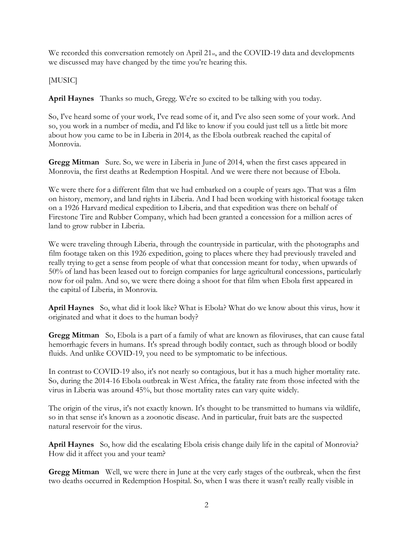We recorded this conversation remotely on April 21<sub>st</sub>, and the COVID-19 data and developments we discussed may have changed by the time you're hearing this.

[MUSIC]

**April Haynes** Thanks so much, Gregg. We're so excited to be talking with you today.

So, I've heard some of your work, I've read some of it, and I've also seen some of your work. And so, you work in a number of media, and I'd like to know if you could just tell us a little bit more about how you came to be in Liberia in 2014, as the Ebola outbreak reached the capital of Monrovia.

**Gregg Mitman** Sure. So, we were in Liberia in June of 2014, when the first cases appeared in Monrovia, the first deaths at Redemption Hospital. And we were there not because of Ebola.

We were there for a different film that we had embarked on a couple of years ago. That was a film on history, memory, and land rights in Liberia. And I had been working with historical footage taken on a 1926 Harvard medical expedition to Liberia, and that expedition was there on behalf of Firestone Tire and Rubber Company, which had been granted a concession for a million acres of land to grow rubber in Liberia.

We were traveling through Liberia, through the countryside in particular, with the photographs and film footage taken on this 1926 expedition, going to places where they had previously traveled and really trying to get a sense from people of what that concession meant for today, when upwards of 50% of land has been leased out to foreign companies for large agricultural concessions, particularly now for oil palm. And so, we were there doing a shoot for that film when Ebola first appeared in the capital of Liberia, in Monrovia.

**April Haynes** So, what did it look like? What is Ebola? What do we know about this virus, how it originated and what it does to the human body?

**Gregg Mitman** So, Ebola is a part of a family of what are known as filoviruses, that can cause fatal hemorrhagic fevers in humans. It's spread through bodily contact, such as through blood or bodily fluids. And unlike COVID-19, you need to be symptomatic to be infectious.

In contrast to COVID-19 also, it's not nearly so contagious, but it has a much higher mortality rate. So, during the 2014-16 Ebola outbreak in West Africa, the fatality rate from those infected with the virus in Liberia was around 45%, but those mortality rates can vary quite widely.

The origin of the virus, it's not exactly known. It's thought to be transmitted to humans via wildlife, so in that sense it's known as a zoonotic disease. And in particular, fruit bats are the suspected natural reservoir for the virus.

**April Haynes** So, how did the escalating Ebola crisis change daily life in the capital of Monrovia? How did it affect you and your team?

**Gregg Mitman** Well, we were there in June at the very early stages of the outbreak, when the first two deaths occurred in Redemption Hospital. So, when I was there it wasn't really really visible in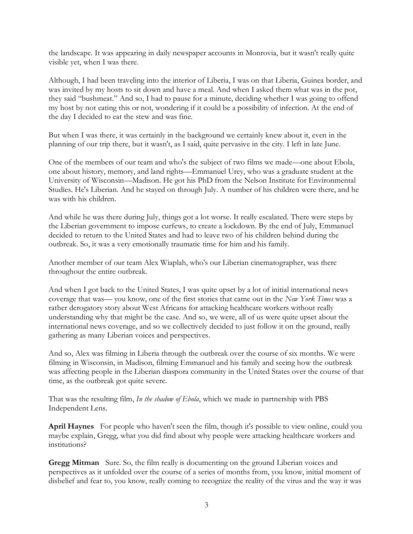the landscape. It was appearing in daily newspaper accounts in Monrovia, but it wasn't really quite visible yet, when I was there.

Although, I had been traveling into the interior of Liberia, I was on that Liberia, Guinea border, and was invited by my hosts to sit down and have a meal. And when I asked them what was in the pot, they said "bushmeat." And so, I had to pause for a minute, deciding whether I was going to offend my host by not eating this or not, wondering if it could be a possibility of infection. At the end of the day I decided to eat the stew and was fine.

But when I was there, it was certainly in the background we certainly knew about it, even in the planning of our trip there, but it wasn't, as I said, quite pervasive in the city. I left in late June.

One of the members of our team and who's the subject of two films we made—one about Ebola, one about history, memory, and land rights—Emmanuel Urey, who was a graduate student at the University of Wisconsin—Madison. He got his PhD from the Nelson Institute for Environmental Studies. He's Liberian. And he stayed on through July. A number of his children were there, and he was with his children.

And while he was there during July, things got a lot worse. It really escalated. There were steps by the Liberian government to impose curfews, to create a lockdown. By the end of July, Emmanuel decided to return to the United States and had to leave two of his children behind during the outbreak. So, it was a very emotionally traumatic time for him and his family.

Another member of our team Alex Wiaplah, who's our Liberian cinematographer, was there throughout the entire outbreak.

And when I got back to the United States, I was quite upset by a lot of initial international news coverage that was— you know, one of the first stories that came out in the *New York Times* was a rather derogatory story about West Africans for attacking healthcare workers without really understanding why that might be the case. And so, we were, all of us were quite upset about the international news coverage, and so we collectively decided to just follow it on the ground, really gathering as many Liberian voices and perspectives.

And so, Alex was filming in Liberia through the outbreak over the course of six months. We were filming in Wisconsin, in Madison, filming Emmanuel and his family and seeing how the outbreak was affecting people in the Liberian diaspora community in the United States over the course of that time, as the outbreak got quite severe.

That was the resulting film, *In the shadow of Ebola*, which we made in partnership with PBS Independent Lens.

**April Haynes** For people who haven't seen the film, though it's possible to view online, could you maybe explain, Gregg, what you did find about why people were attacking healthcare workers and institutions?

**Gregg Mitman** Sure. So, the film really is documenting on the ground Liberian voices and perspectives as it unfolded over the course of a series of months from, you know, initial moment of disbelief and fear to, you know, really coming to recognize the reality of the virus and the way it was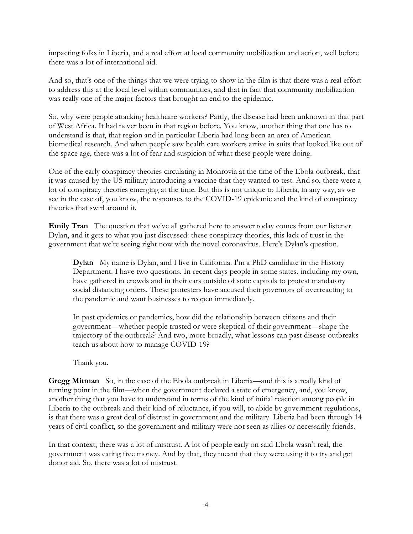impacting folks in Liberia, and a real effort at local community mobilization and action, well before there was a lot of international aid.

And so, that's one of the things that we were trying to show in the film is that there was a real effort to address this at the local level within communities, and that in fact that community mobilization was really one of the major factors that brought an end to the epidemic.

So, why were people attacking healthcare workers? Partly, the disease had been unknown in that part of West Africa. It had never been in that region before. You know, another thing that one has to understand is that, that region and in particular Liberia had long been an area of American biomedical research. And when people saw health care workers arrive in suits that looked like out of the space age, there was a lot of fear and suspicion of what these people were doing.

One of the early conspiracy theories circulating in Monrovia at the time of the Ebola outbreak, that it was caused by the US military introducing a vaccine that they wanted to test. And so, there were a lot of conspiracy theories emerging at the time. But this is not unique to Liberia, in any way, as we see in the case of, you know, the responses to the COVID-19 epidemic and the kind of conspiracy theories that swirl around it.

**Emily Tran** The question that we've all gathered here to answer today comes from our listener Dylan, and it gets to what you just discussed: these conspiracy theories, this lack of trust in the government that we're seeing right now with the novel coronavirus. Here's Dylan's question.

**Dylan** My name is Dylan, and I live in California. I'm a PhD candidate in the History Department. I have two questions. In recent days people in some states, including my own, have gathered in crowds and in their cars outside of state capitols to protest mandatory social distancing orders. These protesters have accused their governors of overreacting to the pandemic and want businesses to reopen immediately.

In past epidemics or pandemics, how did the relationship between citizens and their government—whether people trusted or were skeptical of their government—shape the trajectory of the outbreak? And two, more broadly, what lessons can past disease outbreaks teach us about how to manage COVID-19?

Thank you.

**Gregg Mitman** So, in the case of the Ebola outbreak in Liberia—and this is a really kind of turning point in the film—when the government declared a state of emergency, and, you know, another thing that you have to understand in terms of the kind of initial reaction among people in Liberia to the outbreak and their kind of reluctance, if you will, to abide by government regulations, is that there was a great deal of distrust in government and the military. Liberia had been through 14 years of civil conflict, so the government and military were not seen as allies or necessarily friends.

In that context, there was a lot of mistrust. A lot of people early on said Ebola wasn't real, the government was eating free money. And by that, they meant that they were using it to try and get donor aid. So, there was a lot of mistrust.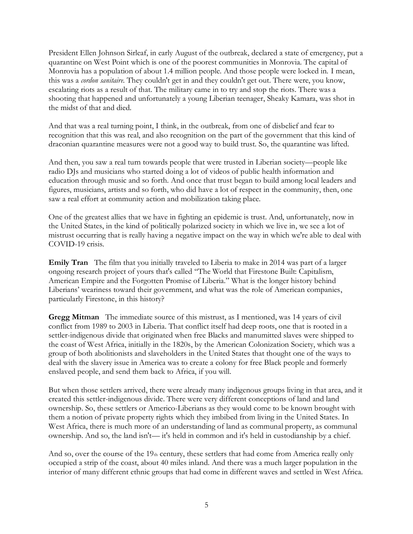President Ellen Johnson Sirleaf, in early August of the outbreak, declared a state of emergency, put a quarantine on West Point which is one of the poorest communities in Monrovia. The capital of Monrovia has a population of about 1.4 million people. And those people were locked in. I mean, this was a *cordon sanitaire*. They couldn't get in and they couldn't get out. There were, you know, escalating riots as a result of that. The military came in to try and stop the riots. There was a shooting that happened and unfortunately a young Liberian teenager, Sheaky Kamara, was shot in the midst of that and died.

And that was a real turning point, I think, in the outbreak, from one of disbelief and fear to recognition that this was real, and also recognition on the part of the government that this kind of draconian quarantine measures were not a good way to build trust. So, the quarantine was lifted.

And then, you saw a real turn towards people that were trusted in Liberian society—people like radio DJs and musicians who started doing a lot of videos of public health information and education through music and so forth. And once that trust began to build among local leaders and figures, musicians, artists and so forth, who did have a lot of respect in the community, then, one saw a real effort at community action and mobilization taking place.

One of the greatest allies that we have in fighting an epidemic is trust. And, unfortunately, now in the United States, in the kind of politically polarized society in which we live in, we see a lot of mistrust occurring that is really having a negative impact on the way in which we're able to deal with COVID-19 crisis.

**Emily Tran** The film that you initially traveled to Liberia to make in 2014 was part of a larger ongoing research project of yours that's called "The World that Firestone Built: Capitalism, American Empire and the Forgotten Promise of Liberia." What is the longer history behind Liberians' weariness toward their government, and what was the role of American companies, particularly Firestone, in this history?

**Gregg Mitman** The immediate source of this mistrust, as I mentioned, was 14 years of civil conflict from 1989 to 2003 in Liberia. That conflict itself had deep roots, one that is rooted in a settler-indigenous divide that originated when free Blacks and manumitted slaves were shipped to the coast of West Africa, initially in the 1820s, by the American Colonization Society, which was a group of both abolitionists and slaveholders in the United States that thought one of the ways to deal with the slavery issue in America was to create a colony for free Black people and formerly enslaved people, and send them back to Africa, if you will.

But when those settlers arrived, there were already many indigenous groups living in that area, and it created this settler-indigenous divide. There were very different conceptions of land and land ownership. So, these settlers or Americo-Liberians as they would come to be known brought with them a notion of private property rights which they imbibed from living in the United States. In West Africa, there is much more of an understanding of land as communal property, as communal ownership. And so, the land isn't— it's held in common and it's held in custodianship by a chief.

And so, over the course of the  $19<sub>th</sub>$  century, these settlers that had come from America really only occupied a strip of the coast, about 40 miles inland. And there was a much larger population in the interior of many different ethnic groups that had come in different waves and settled in West Africa.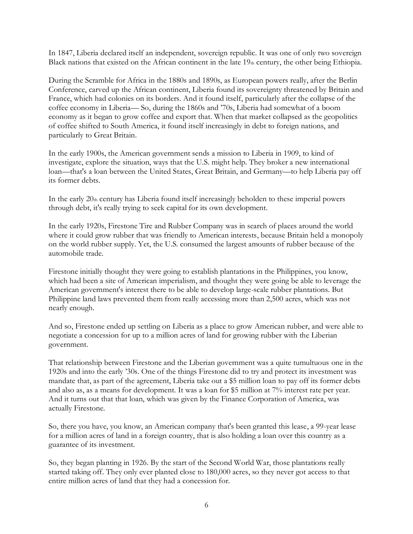In 1847, Liberia declared itself an independent, sovereign republic. It was one of only two sovereign Black nations that existed on the African continent in the late  $19<sub>th</sub>$  century, the other being Ethiopia.

During the Scramble for Africa in the 1880s and 1890s, as European powers really, after the Berlin Conference, carved up the African continent, Liberia found its sovereignty threatened by Britain and France, which had colonies on its borders. And it found itself, particularly after the collapse of the coffee economy in Liberia— So, during the 1860s and '70s, Liberia had somewhat of a boom economy as it began to grow coffee and export that. When that market collapsed as the geopolitics of coffee shifted to South America, it found itself increasingly in debt to foreign nations, and particularly to Great Britain.

In the early 1900s, the American government sends a mission to Liberia in 1909, to kind of investigate, explore the situation, ways that the U.S. might help. They broker a new international loan—that's a loan between the United States, Great Britain, and Germany—to help Liberia pay off its former debts.

In the early  $20<sub>th</sub>$  century has Liberia found itself increasingly beholden to these imperial powers through debt, it's really trying to seek capital for its own development.

In the early 1920s, Firestone Tire and Rubber Company was in search of places around the world where it could grow rubber that was friendly to American interests, because Britain held a monopoly on the world rubber supply. Yet, the U.S. consumed the largest amounts of rubber because of the automobile trade.

Firestone initially thought they were going to establish plantations in the Philippines, you know, which had been a site of American imperialism, and thought they were going be able to leverage the American government's interest there to be able to develop large-scale rubber plantations. But Philippine land laws prevented them from really accessing more than 2,500 acres, which was not nearly enough.

And so, Firestone ended up settling on Liberia as a place to grow American rubber, and were able to negotiate a concession for up to a million acres of land for growing rubber with the Liberian government.

That relationship between Firestone and the Liberian government was a quite tumultuous one in the 1920s and into the early '30s. One of the things Firestone did to try and protect its investment was mandate that, as part of the agreement, Liberia take out a \$5 million loan to pay off its former debts and also as, as a means for development. It was a loan for \$5 million at 7% interest rate per year. And it turns out that that loan, which was given by the Finance Corporation of America, was actually Firestone.

So, there you have, you know, an American company that's been granted this lease, a 99-year lease for a million acres of land in a foreign country, that is also holding a loan over this country as a guarantee of its investment.

So, they began planting in 1926. By the start of the Second World War, those plantations really started taking off. They only ever planted close to 180,000 acres, so they never got access to that entire million acres of land that they had a concession for.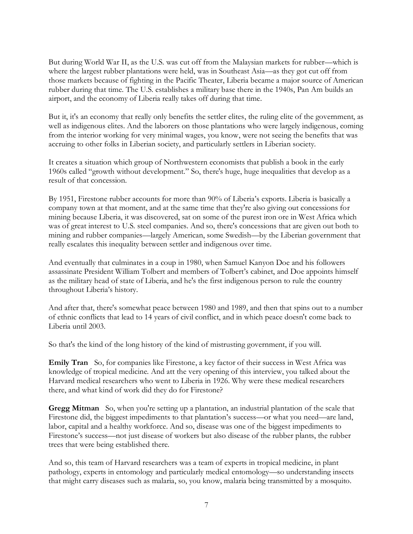But during World War II, as the U.S. was cut off from the Malaysian markets for rubber—which is where the largest rubber plantations were held, was in Southeast Asia—as they got cut off from those markets because of fighting in the Pacific Theater, Liberia became a major source of American rubber during that time. The U.S. establishes a military base there in the 1940s, Pan Am builds an airport, and the economy of Liberia really takes off during that time.

But it, it's an economy that really only benefits the settler elites, the ruling elite of the government, as well as indigenous elites. And the laborers on those plantations who were largely indigenous, coming from the interior working for very minimal wages, you know, were not seeing the benefits that was accruing to other folks in Liberian society, and particularly settlers in Liberian society.

It creates a situation which group of Northwestern economists that publish a book in the early 1960s called "growth without development*.*" So, there's huge, huge inequalities that develop as a result of that concession.

By 1951, Firestone rubber accounts for more than 90% of Liberia's exports. Liberia is basically a company town at that moment, and at the same time that they're also giving out concessions for mining because Liberia, it was discovered, sat on some of the purest iron ore in West Africa which was of great interest to U.S. steel companies. And so, there's concessions that are given out both to mining and rubber companies—largely American, some Swedish—by the Liberian government that really escalates this inequality between settler and indigenous over time.

And eventually that culminates in a coup in 1980, when Samuel Kanyon Doe and his followers assassinate President William Tolbert and members of Tolbert's cabinet, and Doe appoints himself as the military head of state of Liberia, and he's the first indigenous person to rule the country throughout Liberia's history.

And after that, there's somewhat peace between 1980 and 1989, and then that spins out to a number of ethnic conflicts that lead to 14 years of civil conflict, and in which peace doesn't come back to Liberia until 2003.

So that's the kind of the long history of the kind of mistrusting government, if you will.

**Emily Tran** So, for companies like Firestone, a key factor of their success in West Africa was knowledge of tropical medicine. And att the very opening of this interview, you talked about the Harvard medical researchers who went to Liberia in 1926. Why were these medical researchers there, and what kind of work did they do for Firestone?

**Gregg Mitman** So, when you're setting up a plantation, an industrial plantation of the scale that Firestone did, the biggest impediments to that plantation's success—or what you need—are land, labor, capital and a healthy workforce. And so, disease was one of the biggest impediments to Firestone's success—not just disease of workers but also disease of the rubber plants, the rubber trees that were being established there.

And so, this team of Harvard researchers was a team of experts in tropical medicine, in plant pathology, experts in entomology and particularly medical entomology—so understanding insects that might carry diseases such as malaria, so, you know, malaria being transmitted by a mosquito.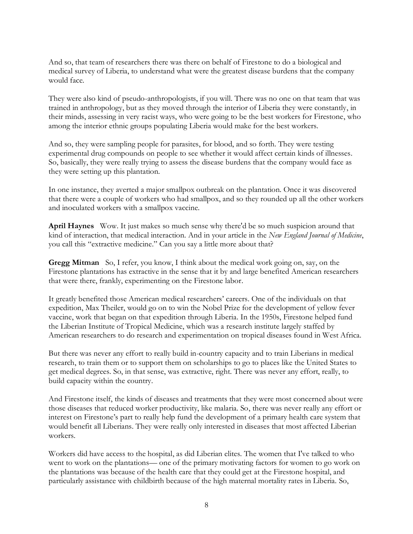And so, that team of researchers there was there on behalf of Firestone to do a biological and medical survey of Liberia, to understand what were the greatest disease burdens that the company would face.

They were also kind of pseudo-anthropologists, if you will. There was no one on that team that was trained in anthropology, but as they moved through the interior of Liberia they were constantly, in their minds, assessing in very racist ways, who were going to be the best workers for Firestone, who among the interior ethnic groups populating Liberia would make for the best workers.

And so, they were sampling people for parasites, for blood, and so forth. They were testing experimental drug compounds on people to see whether it would affect certain kinds of illnesses. So, basically, they were really trying to assess the disease burdens that the company would face as they were setting up this plantation.

In one instance, they averted a major smallpox outbreak on the plantation. Once it was discovered that there were a couple of workers who had smallpox, and so they rounded up all the other workers and inoculated workers with a smallpox vaccine.

**April Haynes** Wow. It just makes so much sense why there'd be so much suspicion around that kind of interaction, that medical interaction. And in your article in the *New England Journal of Medicine*, you call this "extractive medicine." Can you say a little more about that?

**Gregg Mitman** So, I refer, you know, I think about the medical work going on, say, on the Firestone plantations has extractive in the sense that it by and large benefited American researchers that were there, frankly, experimenting on the Firestone labor.

It greatly benefited those American medical researchers' careers. One of the individuals on that expedition, Max Theiler, would go on to win the Nobel Prize for the development of yellow fever vaccine, work that began on that expedition through Liberia. In the 1950s, Firestone helped fund the Liberian Institute of Tropical Medicine, which was a research institute largely staffed by American researchers to do research and experimentation on tropical diseases found in West Africa.

But there was never any effort to really build in-country capacity and to train Liberians in medical research, to train them or to support them on scholarships to go to places like the United States to get medical degrees. So, in that sense, was extractive, right. There was never any effort, really, to build capacity within the country.

And Firestone itself, the kinds of diseases and treatments that they were most concerned about were those diseases that reduced worker productivity, like malaria. So, there was never really any effort or interest on Firestone's part to really help fund the development of a primary health care system that would benefit all Liberians. They were really only interested in diseases that most affected Liberian workers.

Workers did have access to the hospital, as did Liberian elites. The women that I've talked to who went to work on the plantations— one of the primary motivating factors for women to go work on the plantations was because of the health care that they could get at the Firestone hospital, and particularly assistance with childbirth because of the high maternal mortality rates in Liberia. So,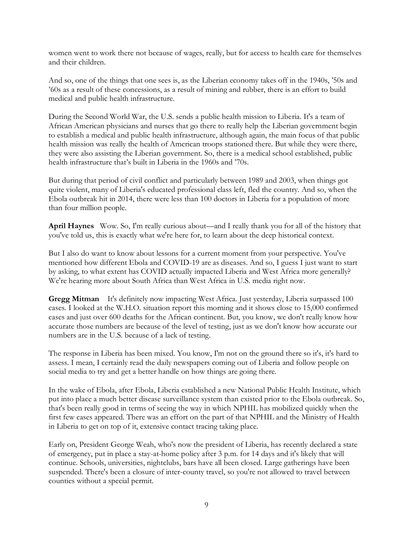women went to work there not because of wages, really, but for access to health care for themselves and their children.

And so, one of the things that one sees is, as the Liberian economy takes off in the 1940s, '50s and '60s as a result of these concessions, as a result of mining and rubber, there is an effort to build medical and public health infrastructure.

During the Second World War, the U.S. sends a public health mission to Liberia. It's a team of African American physicians and nurses that go there to really help the Liberian government begin to establish a medical and public health infrastructure, although again, the main focus of that public health mission was really the health of American troops stationed there. But while they were there, they were also assisting the Liberian government. So, there is a medical school established, public health infrastructure that's built in Liberia in the 1960s and '70s.

But during that period of civil conflict and particularly between 1989 and 2003, when things got quite violent, many of Liberia's educated professional class left, fled the country. And so, when the Ebola outbreak hit in 2014, there were less than 100 doctors in Liberia for a population of more than four million people.

**April Haynes** Wow. So, I'm really curious about—and I really thank you for all of the history that you've told us, this is exactly what we're here for, to learn about the deep historical context.

But I also do want to know about lessons for a current moment from your perspective. You've mentioned how different Ebola and COVID-19 are as diseases. And so, I guess I just want to start by asking, to what extent has COVID actually impacted Liberia and West Africa more generally? We're hearing more about South Africa than West Africa in U.S. media right now.

**Gregg Mitman** It's definitely now impacting West Africa. Just yesterday, Liberia surpassed 100 cases. I looked at the W.H.O. situation report this morning and it shows close to 15,000 confirmed cases and just over 600 deaths for the African continent. But, you know, we don't really know how accurate those numbers are because of the level of testing, just as we don't know how accurate our numbers are in the U.S. because of a lack of testing.

The response in Liberia has been mixed. You know, I'm not on the ground there so it's, it's hard to assess. I mean, I certainly read the daily newspapers coming out of Liberia and follow people on social media to try and get a better handle on how things are going there.

In the wake of Ebola, after Ebola, Liberia established a new National Public Health Institute, which put into place a much better disease surveillance system than existed prior to the Ebola outbreak. So, that's been really good in terms of seeing the way in which NPHIL has mobilized quickly when the first few cases appeared. There was an effort on the part of that NPHIL and the Ministry of Health in Liberia to get on top of it, extensive contact tracing taking place.

Early on, President George Weah, who's now the president of Liberia, has recently declared a state of emergency, put in place a stay-at-home policy after 3 p.m. for 14 days and it's likely that will continue. Schools, universities, nightclubs, bars have all been closed. Large gatherings have been suspended. There's been a closure of inter-county travel, so you're not allowed to travel between counties without a special permit.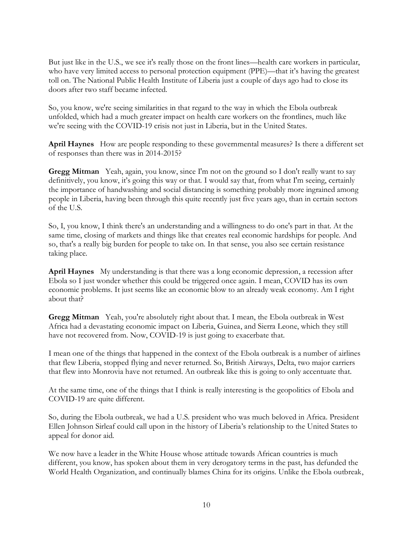But just like in the U.S., we see it's really those on the front lines—health care workers in particular, who have very limited access to personal protection equipment (PPE)—that it's having the greatest toll on. The National Public Health Institute of Liberia just a couple of days ago had to close its doors after two staff became infected.

So, you know, we're seeing similarities in that regard to the way in which the Ebola outbreak unfolded, which had a much greater impact on health care workers on the frontlines, much like we're seeing with the COVID-19 crisis not just in Liberia, but in the United States.

**April Haynes** How are people responding to these governmental measures? Is there a different set of responses than there was in 2014-2015?

**Gregg Mitman** Yeah, again, you know, since I'm not on the ground so I don't really want to say definitively, you know, it's going this way or that. I would say that, from what I'm seeing, certainly the importance of handwashing and social distancing is something probably more ingrained among people in Liberia, having been through this quite recently just five years ago, than in certain sectors of the U.S.

So, I, you know, I think there's an understanding and a willingness to do one's part in that. At the same time, closing of markets and things like that creates real economic hardships for people. And so, that's a really big burden for people to take on. In that sense, you also see certain resistance taking place.

**April Haynes** My understanding is that there was a long economic depression, a recession after Ebola so I just wonder whether this could be triggered once again. I mean, COVID has its own economic problems. It just seems like an economic blow to an already weak economy. Am I right about that?

**Gregg Mitman** Yeah, you're absolutely right about that. I mean, the Ebola outbreak in West Africa had a devastating economic impact on Liberia, Guinea, and Sierra Leone, which they still have not recovered from. Now, COVID-19 is just going to exacerbate that.

I mean one of the things that happened in the context of the Ebola outbreak is a number of airlines that flew Liberia, stopped flying and never returned. So, British Airways, Delta, two major carriers that flew into Monrovia have not returned. An outbreak like this is going to only accentuate that.

At the same time, one of the things that I think is really interesting is the geopolitics of Ebola and COVID-19 are quite different.

So, during the Ebola outbreak, we had a U.S. president who was much beloved in Africa. President Ellen Johnson Sirleaf could call upon in the history of Liberia's relationship to the United States to appeal for donor aid.

We now have a leader in the White House whose attitude towards African countries is much different, you know, has spoken about them in very derogatory terms in the past, has defunded the World Health Organization, and continually blames China for its origins. Unlike the Ebola outbreak,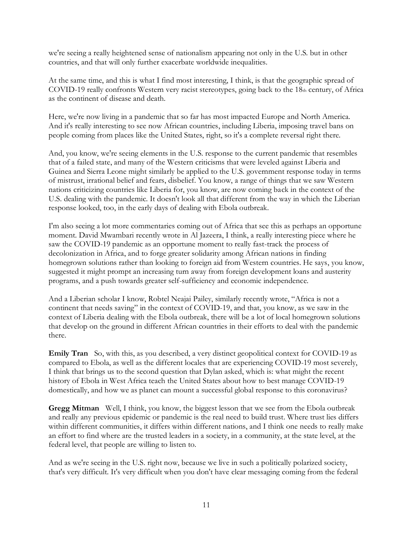we're seeing a really heightened sense of nationalism appearing not only in the U.S. but in other countries, and that will only further exacerbate worldwide inequalities.

At the same time, and this is what I find most interesting, I think, is that the geographic spread of COVID-19 really confronts Western very racist stereotypes, going back to the  $18<sub>th</sub>$  century, of Africa as the continent of disease and death.

Here, we're now living in a pandemic that so far has most impacted Europe and North America. And it's really interesting to see now African countries, including Liberia, imposing travel bans on people coming from places like the United States, right, so it's a complete reversal right there.

And, you know, we're seeing elements in the U.S. response to the current pandemic that resembles that of a failed state, and many of the Western criticisms that were leveled against Liberia and Guinea and Sierra Leone might similarly be applied to the U.S. government response today in terms of mistrust, irrational belief and fears, disbelief. You know, a range of things that we saw Western nations criticizing countries like Liberia for, you know, are now coming back in the context of the U.S. dealing with the pandemic. It doesn't look all that different from the way in which the Liberian response looked, too, in the early days of dealing with Ebola outbreak.

I'm also seeing a lot more commentaries coming out of Africa that see this as perhaps an opportune moment. David Mwambari recently wrote in Al Jazeera, I think, a really interesting piece where he saw the COVID-19 pandemic as an opportune moment to really fast-track the process of decolonization in Africa, and to forge greater solidarity among African nations in finding homegrown solutions rather than looking to foreign aid from Western countries. He says, you know, suggested it might prompt an increasing turn away from foreign development loans and austerity programs, and a push towards greater self-sufficiency and economic independence.

And a Liberian scholar I know, Robtel Neajai Pailey, similarly recently wrote, "Africa is not a continent that needs saving" in the context of COVID-19, and that, you know, as we saw in the context of Liberia dealing with the Ebola outbreak, there will be a lot of local homegrown solutions that develop on the ground in different African countries in their efforts to deal with the pandemic there.

**Emily Tran** So, with this, as you described, a very distinct geopolitical context for COVID-19 as compared to Ebola, as well as the different locales that are experiencing COVID-19 most severely, I think that brings us to the second question that Dylan asked, which is: what might the recent history of Ebola in West Africa teach the United States about how to best manage COVID-19 domestically, and how we as planet can mount a successful global response to this coronavirus?

**Gregg Mitman** Well, I think, you know, the biggest lesson that we see from the Ebola outbreak and really any previous epidemic or pandemic is the real need to build trust. Where trust lies differs within different communities, it differs within different nations, and I think one needs to really make an effort to find where are the trusted leaders in a society, in a community, at the state level, at the federal level, that people are willing to listen to.

And as we're seeing in the U.S. right now, because we live in such a politically polarized society, that's very difficult. It's very difficult when you don't have clear messaging coming from the federal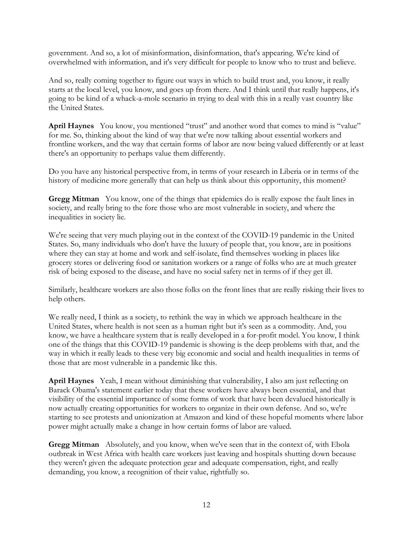government. And so, a lot of misinformation, disinformation, that's appearing. We're kind of overwhelmed with information, and it's very difficult for people to know who to trust and believe.

And so, really coming together to figure out ways in which to build trust and, you know, it really starts at the local level, you know, and goes up from there. And I think until that really happens, it's going to be kind of a whack-a-mole scenario in trying to deal with this in a really vast country like the United States.

**April Haynes** You know, you mentioned "trust" and another word that comes to mind is "value" for me. So, thinking about the kind of way that we're now talking about essential workers and frontline workers, and the way that certain forms of labor are now being valued differently or at least there's an opportunity to perhaps value them differently.

Do you have any historical perspective from, in terms of your research in Liberia or in terms of the history of medicine more generally that can help us think about this opportunity, this moment?

**Gregg Mitman** You know, one of the things that epidemics do is really expose the fault lines in society, and really bring to the fore those who are most vulnerable in society, and where the inequalities in society lie.

We're seeing that very much playing out in the context of the COVID-19 pandemic in the United States. So, many individuals who don't have the luxury of people that, you know, are in positions where they can stay at home and work and self-isolate, find themselves working in places like grocery stores or delivering food or sanitation workers or a range of folks who are at much greater risk of being exposed to the disease, and have no social safety net in terms of if they get ill.

Similarly, healthcare workers are also those folks on the front lines that are really risking their lives to help others.

We really need, I think as a society, to rethink the way in which we approach healthcare in the United States, where health is not seen as a human right but it's seen as a commodity. And, you know, we have a healthcare system that is really developed in a for-profit model. You know, I think one of the things that this COVID-19 pandemic is showing is the deep problems with that, and the way in which it really leads to these very big economic and social and health inequalities in terms of those that are most vulnerable in a pandemic like this.

**April Haynes** Yeah, I mean without diminishing that vulnerability, I also am just reflecting on Barack Obama's statement earlier today that these workers have always been essential, and that visibility of the essential importance of some forms of work that have been devalued historically is now actually creating opportunities for workers to organize in their own defense. And so, we're starting to see protests and unionization at Amazon and kind of these hopeful moments where labor power might actually make a change in how certain forms of labor are valued.

**Gregg Mitman** Absolutely, and you know, when we've seen that in the context of, with Ebola outbreak in West Africa with health care workers just leaving and hospitals shutting down because they weren't given the adequate protection gear and adequate compensation, right, and really demanding, you know, a recognition of their value, rightfully so.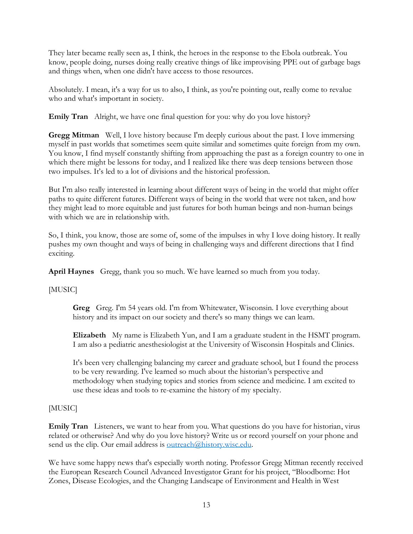They later became really seen as, I think, the heroes in the response to the Ebola outbreak. You know, people doing, nurses doing really creative things of like improvising PPE out of garbage bags and things when, when one didn't have access to those resources.

Absolutely. I mean, it's a way for us to also, I think, as you're pointing out, really come to revalue who and what's important in society.

**Emily Tran** Alright, we have one final question for you: why do you love history?

**Gregg Mitman** Well, I love history because I'm deeply curious about the past. I love immersing myself in past worlds that sometimes seem quite similar and sometimes quite foreign from my own. You know, I find myself constantly shifting from approaching the past as a foreign country to one in which there might be lessons for today, and I realized like there was deep tensions between those two impulses. It's led to a lot of divisions and the historical profession.

But I'm also really interested in learning about different ways of being in the world that might offer paths to quite different futures. Different ways of being in the world that were not taken, and how they might lead to more equitable and just futures for both human beings and non-human beings with which we are in relationship with.

So, I think, you know, those are some of, some of the impulses in why I love doing history. It really pushes my own thought and ways of being in challenging ways and different directions that I find exciting.

**April Haynes** Gregg, thank you so much. We have learned so much from you today.

[MUSIC]

**Greg** Greg. I'm 54 years old. I'm from Whitewater, Wisconsin. I love everything about history and its impact on our society and there's so many things we can learn.

**Elizabeth** My name is Elizabeth Yun, and I am a graduate student in the HSMT program. I am also a pediatric anesthesiologist at the University of Wisconsin Hospitals and Clinics.

It's been very challenging balancing my career and graduate school, but I found the process to be very rewarding. I've learned so much about the historian's perspective and methodology when studying topics and stories from science and medicine. I am excited to use these ideas and tools to re-examine the history of my specialty.

## [MUSIC]

**Emily Tran** Listeners, we want to hear from you. What questions do you have for historian, virus related or otherwise? And why do you love history? Write us or record yourself on your phone and send us the clip. Our email address is [outreach@history.wisc.edu.](mailto:outreach@history.wisc.edu)

We have some happy news that's especially worth noting. Professor Gregg Mitman recently received the European Research Council Advanced Investigator Grant for his project, "Bloodborne: Hot Zones, Disease Ecologies, and the Changing Landscape of Environment and Health in West